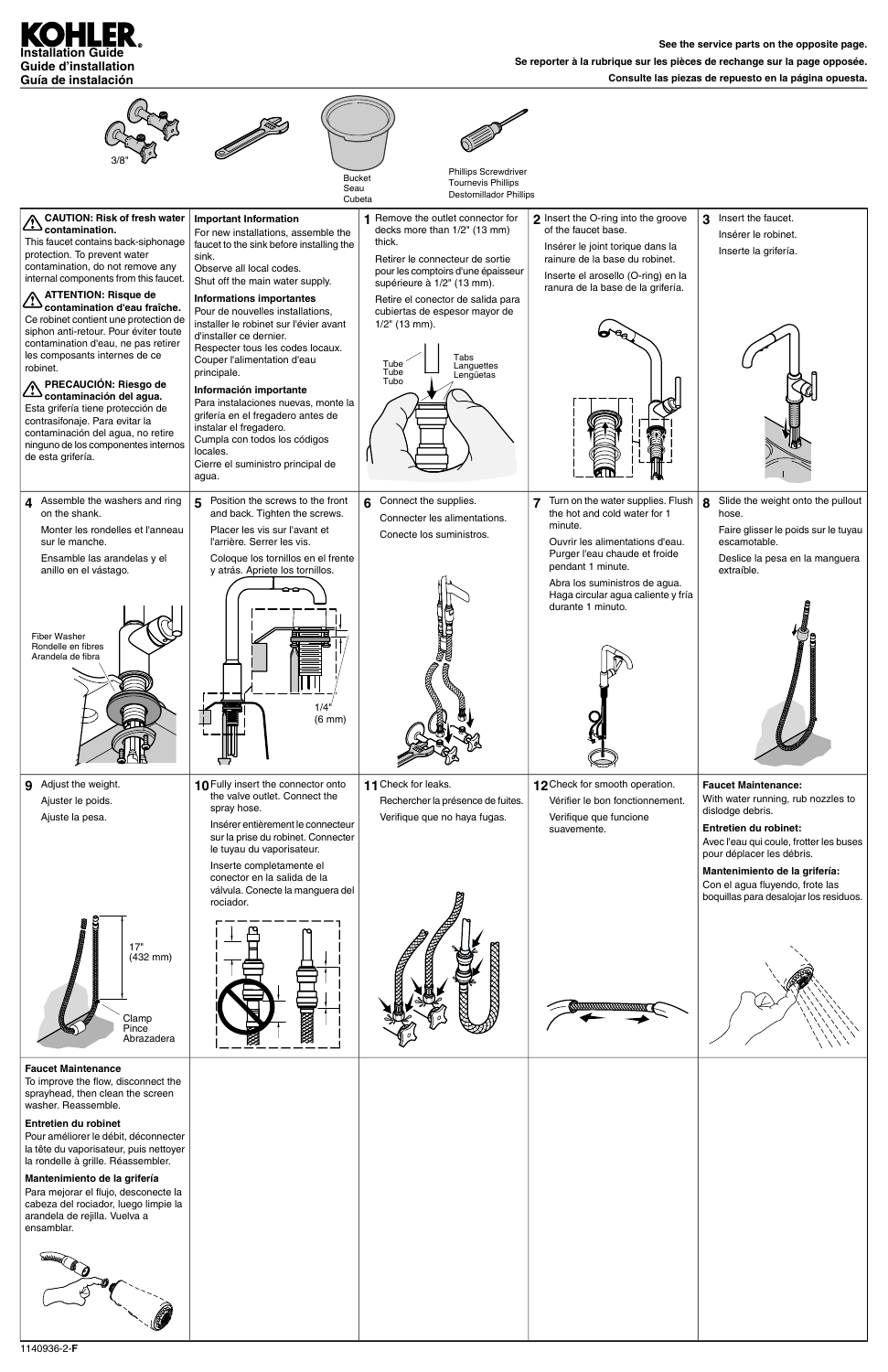